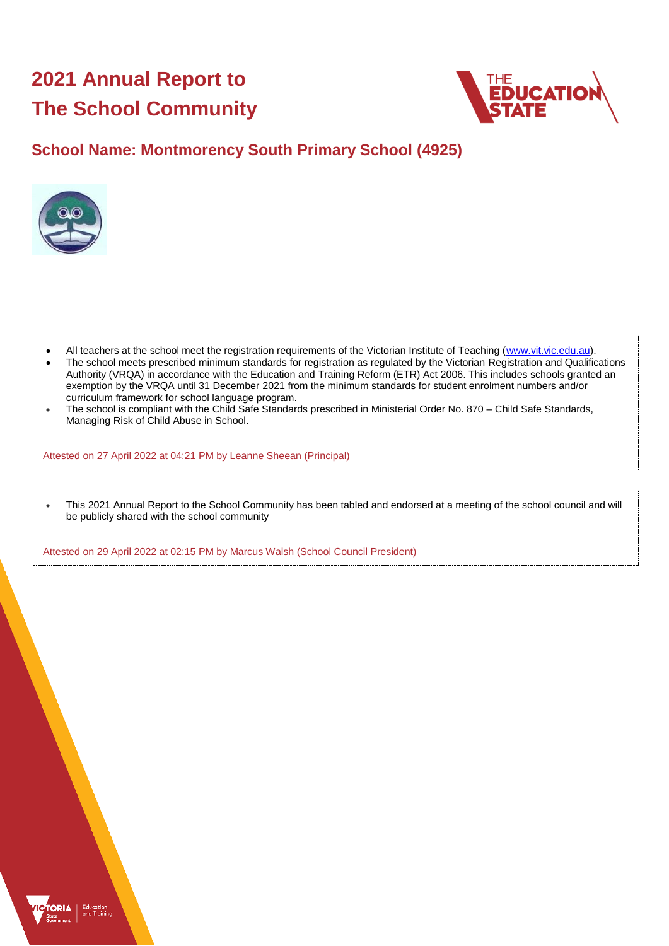# **2021 Annual Report to The School Community**



# **School Name: Montmorency South Primary School (4925)**



- All teachers at the school meet the registration requirements of the Victorian Institute of Teaching [\(www.vit.vic.edu.au\)](https://www.vit.vic.edu.au/).
- The school meets prescribed minimum standards for registration as regulated by the Victorian Registration and Qualifications Authority (VRQA) in accordance with the Education and Training Reform (ETR) Act 2006. This includes schools granted an exemption by the VRQA until 31 December 2021 from the minimum standards for student enrolment numbers and/or curriculum framework for school language program.
- The school is compliant with the Child Safe Standards prescribed in Ministerial Order No. 870 Child Safe Standards, Managing Risk of Child Abuse in School.

Attested on 27 April 2022 at 04:21 PM by Leanne Sheean (Principal)

• This 2021 Annual Report to the School Community has been tabled and endorsed at a meeting of the school council and will be publicly shared with the school community

Attested on 29 April 2022 at 02:15 PM by Marcus Walsh (School Council President)

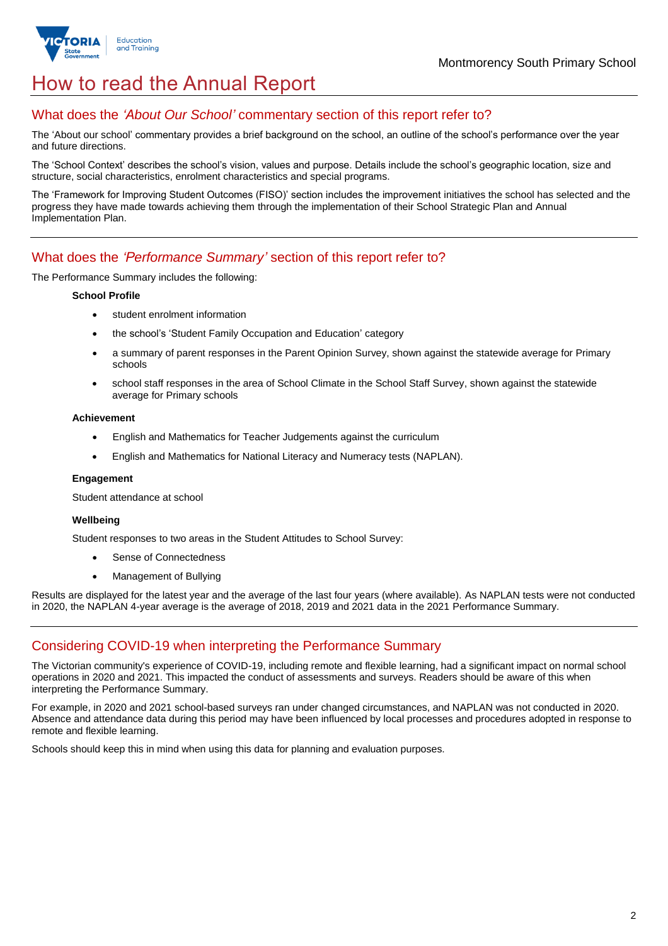

# How to read the Annual Report

## What does the *'About Our School'* commentary section of this report refer to?

The 'About our school' commentary provides a brief background on the school, an outline of the school's performance over the year and future directions.

The 'School Context' describes the school's vision, values and purpose. Details include the school's geographic location, size and structure, social characteristics, enrolment characteristics and special programs.

The 'Framework for Improving Student Outcomes (FISO)' section includes the improvement initiatives the school has selected and the progress they have made towards achieving them through the implementation of their School Strategic Plan and Annual Implementation Plan.

## What does the *'Performance Summary'* section of this report refer to?

The Performance Summary includes the following:

### **School Profile**

- student enrolment information
- the school's 'Student Family Occupation and Education' category
- a summary of parent responses in the Parent Opinion Survey, shown against the statewide average for Primary schools
- school staff responses in the area of School Climate in the School Staff Survey, shown against the statewide average for Primary schools

### **Achievement**

- English and Mathematics for Teacher Judgements against the curriculum
- English and Mathematics for National Literacy and Numeracy tests (NAPLAN).

### **Engagement**

Student attendance at school

### **Wellbeing**

Student responses to two areas in the Student Attitudes to School Survey:

- Sense of Connectedness
- Management of Bullying

Results are displayed for the latest year and the average of the last four years (where available). As NAPLAN tests were not conducted in 2020, the NAPLAN 4-year average is the average of 2018, 2019 and 2021 data in the 2021 Performance Summary.

# Considering COVID-19 when interpreting the Performance Summary

The Victorian community's experience of COVID-19, including remote and flexible learning, had a significant impact on normal school operations in 2020 and 2021. This impacted the conduct of assessments and surveys. Readers should be aware of this when interpreting the Performance Summary.

For example, in 2020 and 2021 school-based surveys ran under changed circumstances, and NAPLAN was not conducted in 2020. Absence and attendance data during this period may have been influenced by local processes and procedures adopted in response to remote and flexible learning.

Schools should keep this in mind when using this data for planning and evaluation purposes.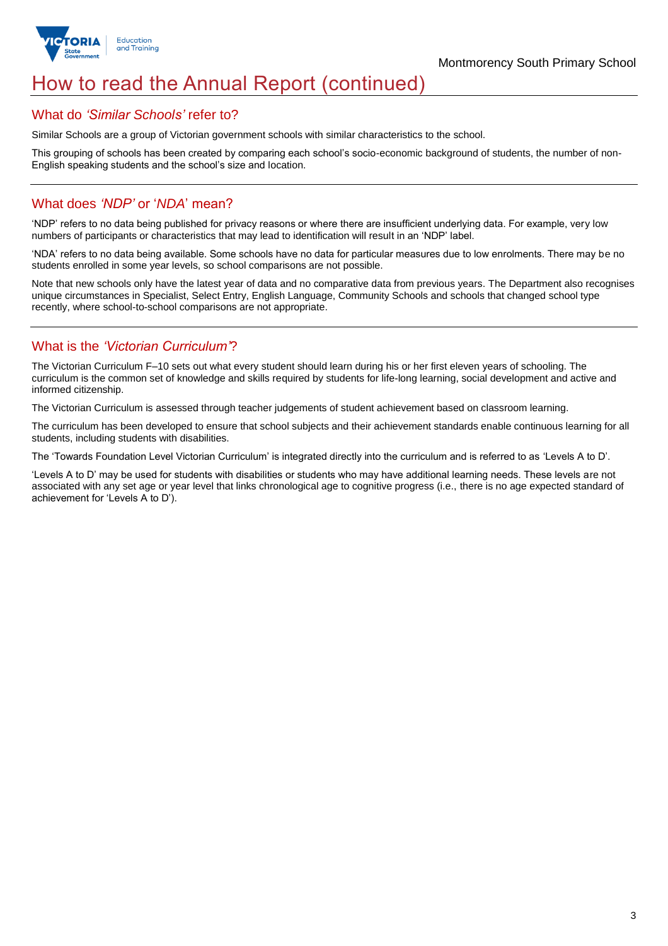

# How to read the Annual Report (continued)

### What do *'Similar Schools'* refer to?

Similar Schools are a group of Victorian government schools with similar characteristics to the school.

This grouping of schools has been created by comparing each school's socio-economic background of students, the number of non-English speaking students and the school's size and location.

## What does *'NDP'* or '*NDA*' mean?

'NDP' refers to no data being published for privacy reasons or where there are insufficient underlying data. For example, very low numbers of participants or characteristics that may lead to identification will result in an 'NDP' label.

'NDA' refers to no data being available. Some schools have no data for particular measures due to low enrolments. There may be no students enrolled in some year levels, so school comparisons are not possible.

Note that new schools only have the latest year of data and no comparative data from previous years. The Department also recognises unique circumstances in Specialist, Select Entry, English Language, Community Schools and schools that changed school type recently, where school-to-school comparisons are not appropriate.

# What is the *'Victorian Curriculum'*?

The Victorian Curriculum F–10 sets out what every student should learn during his or her first eleven years of schooling. The curriculum is the common set of knowledge and skills required by students for life-long learning, social development and active and informed citizenship.

The Victorian Curriculum is assessed through teacher judgements of student achievement based on classroom learning.

The curriculum has been developed to ensure that school subjects and their achievement standards enable continuous learning for all students, including students with disabilities.

The 'Towards Foundation Level Victorian Curriculum' is integrated directly into the curriculum and is referred to as 'Levels A to D'.

'Levels A to D' may be used for students with disabilities or students who may have additional learning needs. These levels are not associated with any set age or year level that links chronological age to cognitive progress (i.e., there is no age expected standard of achievement for 'Levels A to D').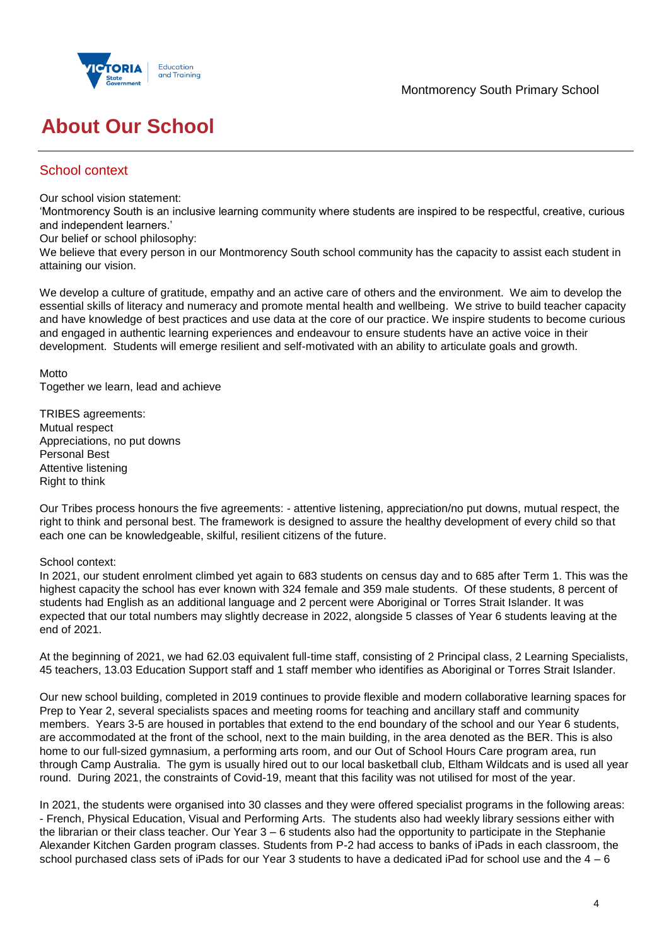

# **About Our School**

# School context

Our school vision statement:

'Montmorency South is an inclusive learning community where students are inspired to be respectful, creative, curious and independent learners.'

Our belief or school philosophy:

We believe that every person in our Montmorency South school community has the capacity to assist each student in attaining our vision.

We develop a culture of gratitude, empathy and an active care of others and the environment. We aim to develop the essential skills of literacy and numeracy and promote mental health and wellbeing. We strive to build teacher capacity and have knowledge of best practices and use data at the core of our practice. We inspire students to become curious and engaged in authentic learning experiences and endeavour to ensure students have an active voice in their development. Students will emerge resilient and self-motivated with an ability to articulate goals and growth.

**Motto** Together we learn, lead and achieve

TRIBES agreements: Mutual respect Appreciations, no put downs Personal Best Attentive listening Right to think

Our Tribes process honours the five agreements: - attentive listening, appreciation/no put downs, mutual respect, the right to think and personal best. The framework is designed to assure the healthy development of every child so that each one can be knowledgeable, skilful, resilient citizens of the future.

### School context:

In 2021, our student enrolment climbed yet again to 683 students on census day and to 685 after Term 1. This was the highest capacity the school has ever known with 324 female and 359 male students. Of these students, 8 percent of students had English as an additional language and 2 percent were Aboriginal or Torres Strait Islander. It was expected that our total numbers may slightly decrease in 2022, alongside 5 classes of Year 6 students leaving at the end of 2021.

At the beginning of 2021, we had 62.03 equivalent full-time staff, consisting of 2 Principal class, 2 Learning Specialists, 45 teachers, 13.03 Education Support staff and 1 staff member who identifies as Aboriginal or Torres Strait Islander.

Our new school building, completed in 2019 continues to provide flexible and modern collaborative learning spaces for Prep to Year 2, several specialists spaces and meeting rooms for teaching and ancillary staff and community members. Years 3-5 are housed in portables that extend to the end boundary of the school and our Year 6 students, are accommodated at the front of the school, next to the main building, in the area denoted as the BER. This is also home to our full-sized gymnasium, a performing arts room, and our Out of School Hours Care program area, run through Camp Australia. The gym is usually hired out to our local basketball club, Eltham Wildcats and is used all year round. During 2021, the constraints of Covid-19, meant that this facility was not utilised for most of the year.

In 2021, the students were organised into 30 classes and they were offered specialist programs in the following areas: - French, Physical Education, Visual and Performing Arts. The students also had weekly library sessions either with the librarian or their class teacher. Our Year 3 – 6 students also had the opportunity to participate in the Stephanie Alexander Kitchen Garden program classes. Students from P-2 had access to banks of iPads in each classroom, the school purchased class sets of iPads for our Year 3 students to have a dedicated iPad for school use and the  $4 - 6$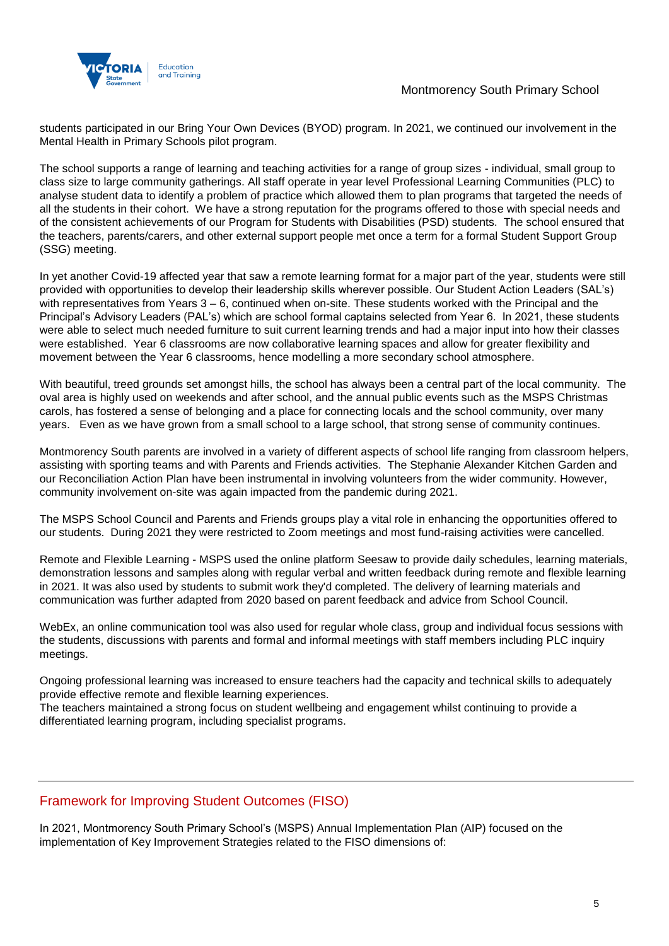

students participated in our Bring Your Own Devices (BYOD) program. In 2021, we continued our involvement in the Mental Health in Primary Schools pilot program.

The school supports a range of learning and teaching activities for a range of group sizes - individual, small group to class size to large community gatherings. All staff operate in year level Professional Learning Communities (PLC) to analyse student data to identify a problem of practice which allowed them to plan programs that targeted the needs of all the students in their cohort. We have a strong reputation for the programs offered to those with special needs and of the consistent achievements of our Program for Students with Disabilities (PSD) students. The school ensured that the teachers, parents/carers, and other external support people met once a term for a formal Student Support Group (SSG) meeting.

In yet another Covid-19 affected year that saw a remote learning format for a major part of the year, students were still provided with opportunities to develop their leadership skills wherever possible. Our Student Action Leaders (SAL's) with representatives from Years 3 – 6, continued when on-site. These students worked with the Principal and the Principal's Advisory Leaders (PAL's) which are school formal captains selected from Year 6. In 2021, these students were able to select much needed furniture to suit current learning trends and had a major input into how their classes were established. Year 6 classrooms are now collaborative learning spaces and allow for greater flexibility and movement between the Year 6 classrooms, hence modelling a more secondary school atmosphere.

With beautiful, treed grounds set amongst hills, the school has always been a central part of the local community. The oval area is highly used on weekends and after school, and the annual public events such as the MSPS Christmas carols, has fostered a sense of belonging and a place for connecting locals and the school community, over many years. Even as we have grown from a small school to a large school, that strong sense of community continues.

Montmorency South parents are involved in a variety of different aspects of school life ranging from classroom helpers, assisting with sporting teams and with Parents and Friends activities. The Stephanie Alexander Kitchen Garden and our Reconciliation Action Plan have been instrumental in involving volunteers from the wider community. However, community involvement on-site was again impacted from the pandemic during 2021.

The MSPS School Council and Parents and Friends groups play a vital role in enhancing the opportunities offered to our students. During 2021 they were restricted to Zoom meetings and most fund-raising activities were cancelled.

Remote and Flexible Learning - MSPS used the online platform Seesaw to provide daily schedules, learning materials, demonstration lessons and samples along with regular verbal and written feedback during remote and flexible learning in 2021. It was also used by students to submit work they'd completed. The delivery of learning materials and communication was further adapted from 2020 based on parent feedback and advice from School Council.

WebEx, an online communication tool was also used for regular whole class, group and individual focus sessions with the students, discussions with parents and formal and informal meetings with staff members including PLC inquiry meetings.

Ongoing professional learning was increased to ensure teachers had the capacity and technical skills to adequately provide effective remote and flexible learning experiences.

The teachers maintained a strong focus on student wellbeing and engagement whilst continuing to provide a differentiated learning program, including specialist programs.

## Framework for Improving Student Outcomes (FISO)

In 2021, Montmorency South Primary School's (MSPS) Annual Implementation Plan (AIP) focused on the implementation of Key Improvement Strategies related to the FISO dimensions of: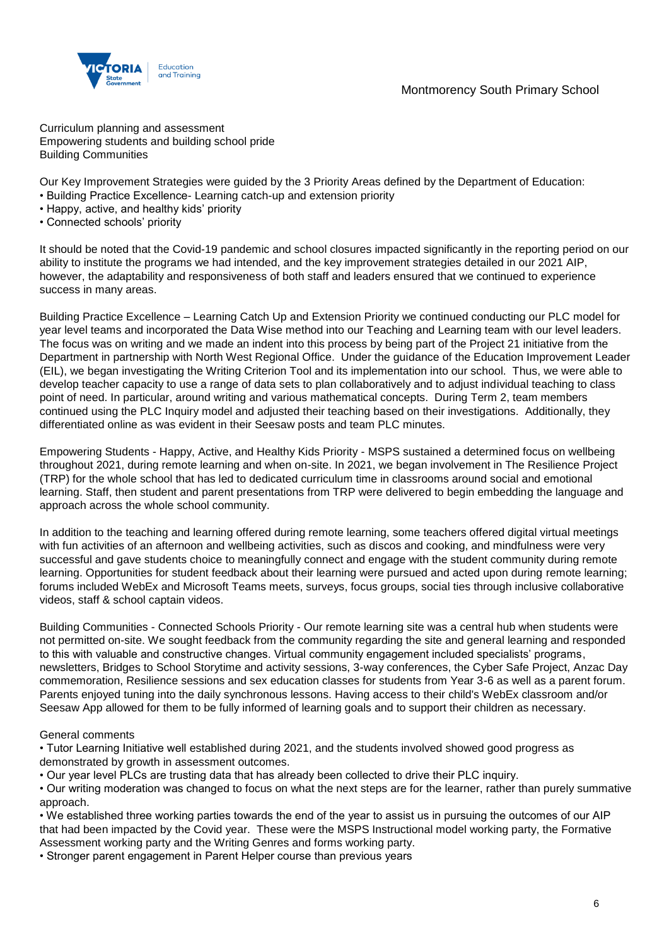

Curriculum planning and assessment Empowering students and building school pride Building Communities

Our Key Improvement Strategies were guided by the 3 Priority Areas defined by the Department of Education:

- Building Practice Excellence- Learning catch-up and extension priority
- Happy, active, and healthy kids' priority
- Connected schools' priority

It should be noted that the Covid-19 pandemic and school closures impacted significantly in the reporting period on our ability to institute the programs we had intended, and the key improvement strategies detailed in our 2021 AIP, however, the adaptability and responsiveness of both staff and leaders ensured that we continued to experience success in many areas.

Building Practice Excellence – Learning Catch Up and Extension Priority we continued conducting our PLC model for year level teams and incorporated the Data Wise method into our Teaching and Learning team with our level leaders. The focus was on writing and we made an indent into this process by being part of the Project 21 initiative from the Department in partnership with North West Regional Office. Under the guidance of the Education Improvement Leader (EIL), we began investigating the Writing Criterion Tool and its implementation into our school. Thus, we were able to develop teacher capacity to use a range of data sets to plan collaboratively and to adjust individual teaching to class point of need. In particular, around writing and various mathematical concepts. During Term 2, team members continued using the PLC Inquiry model and adjusted their teaching based on their investigations. Additionally, they differentiated online as was evident in their Seesaw posts and team PLC minutes.

Empowering Students - Happy, Active, and Healthy Kids Priority - MSPS sustained a determined focus on wellbeing throughout 2021, during remote learning and when on-site. In 2021, we began involvement in The Resilience Project (TRP) for the whole school that has led to dedicated curriculum time in classrooms around social and emotional learning. Staff, then student and parent presentations from TRP were delivered to begin embedding the language and approach across the whole school community.

In addition to the teaching and learning offered during remote learning, some teachers offered digital virtual meetings with fun activities of an afternoon and wellbeing activities, such as discos and cooking, and mindfulness were very successful and gave students choice to meaningfully connect and engage with the student community during remote learning. Opportunities for student feedback about their learning were pursued and acted upon during remote learning; forums included WebEx and Microsoft Teams meets, surveys, focus groups, social ties through inclusive collaborative videos, staff & school captain videos.

Building Communities - Connected Schools Priority - Our remote learning site was a central hub when students were not permitted on-site. We sought feedback from the community regarding the site and general learning and responded to this with valuable and constructive changes. Virtual community engagement included specialists' programs, newsletters, Bridges to School Storytime and activity sessions, 3-way conferences, the Cyber Safe Project, Anzac Day commemoration, Resilience sessions and sex education classes for students from Year 3-6 as well as a parent forum. Parents enjoyed tuning into the daily synchronous lessons. Having access to their child's WebEx classroom and/or Seesaw App allowed for them to be fully informed of learning goals and to support their children as necessary.

### General comments

• Tutor Learning Initiative well established during 2021, and the students involved showed good progress as demonstrated by growth in assessment outcomes.

- Our year level PLCs are trusting data that has already been collected to drive their PLC inquiry.
- Our writing moderation was changed to focus on what the next steps are for the learner, rather than purely summative approach.

• We established three working parties towards the end of the year to assist us in pursuing the outcomes of our AIP that had been impacted by the Covid year. These were the MSPS Instructional model working party, the Formative Assessment working party and the Writing Genres and forms working party.

• Stronger parent engagement in Parent Helper course than previous years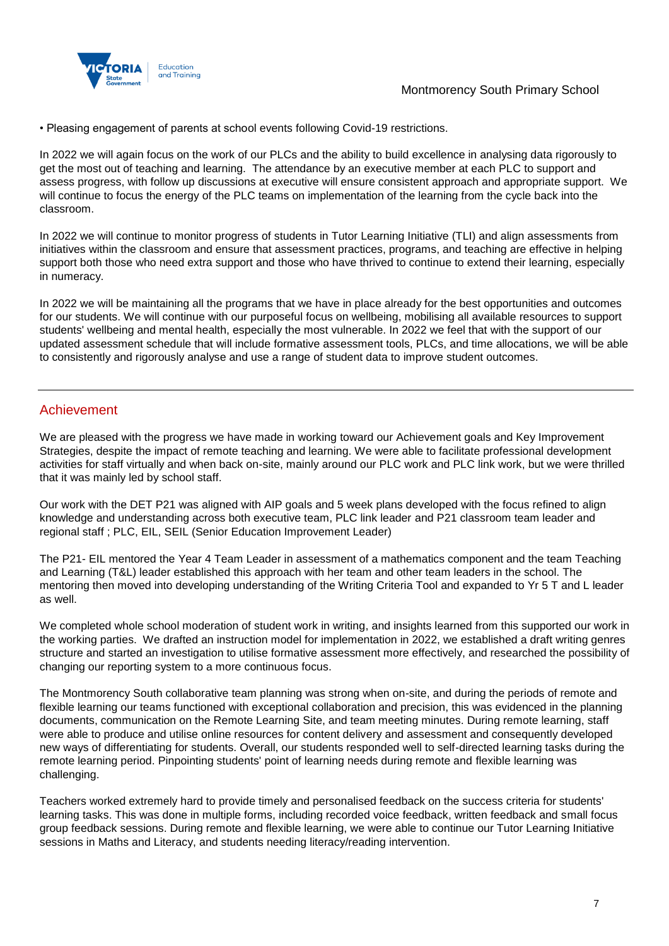

• Pleasing engagement of parents at school events following Covid-19 restrictions.

In 2022 we will again focus on the work of our PLCs and the ability to build excellence in analysing data rigorously to get the most out of teaching and learning. The attendance by an executive member at each PLC to support and assess progress, with follow up discussions at executive will ensure consistent approach and appropriate support. We will continue to focus the energy of the PLC teams on implementation of the learning from the cycle back into the classroom.

In 2022 we will continue to monitor progress of students in Tutor Learning Initiative (TLI) and align assessments from initiatives within the classroom and ensure that assessment practices, programs, and teaching are effective in helping support both those who need extra support and those who have thrived to continue to extend their learning, especially in numeracy.

In 2022 we will be maintaining all the programs that we have in place already for the best opportunities and outcomes for our students. We will continue with our purposeful focus on wellbeing, mobilising all available resources to support students' wellbeing and mental health, especially the most vulnerable. In 2022 we feel that with the support of our updated assessment schedule that will include formative assessment tools, PLCs, and time allocations, we will be able to consistently and rigorously analyse and use a range of student data to improve student outcomes.

### Achievement

We are pleased with the progress we have made in working toward our Achievement goals and Key Improvement Strategies, despite the impact of remote teaching and learning. We were able to facilitate professional development activities for staff virtually and when back on-site, mainly around our PLC work and PLC link work, but we were thrilled that it was mainly led by school staff.

Our work with the DET P21 was aligned with AIP goals and 5 week plans developed with the focus refined to align knowledge and understanding across both executive team, PLC link leader and P21 classroom team leader and regional staff ; PLC, EIL, SEIL (Senior Education Improvement Leader)

The P21- EIL mentored the Year 4 Team Leader in assessment of a mathematics component and the team Teaching and Learning (T&L) leader established this approach with her team and other team leaders in the school. The mentoring then moved into developing understanding of the Writing Criteria Tool and expanded to Yr 5 T and L leader as well.

We completed whole school moderation of student work in writing, and insights learned from this supported our work in the working parties. We drafted an instruction model for implementation in 2022, we established a draft writing genres structure and started an investigation to utilise formative assessment more effectively, and researched the possibility of changing our reporting system to a more continuous focus.

The Montmorency South collaborative team planning was strong when on-site, and during the periods of remote and flexible learning our teams functioned with exceptional collaboration and precision, this was evidenced in the planning documents, communication on the Remote Learning Site, and team meeting minutes. During remote learning, staff were able to produce and utilise online resources for content delivery and assessment and consequently developed new ways of differentiating for students. Overall, our students responded well to self-directed learning tasks during the remote learning period. Pinpointing students' point of learning needs during remote and flexible learning was challenging.

Teachers worked extremely hard to provide timely and personalised feedback on the success criteria for students' learning tasks. This was done in multiple forms, including recorded voice feedback, written feedback and small focus group feedback sessions. During remote and flexible learning, we were able to continue our Tutor Learning Initiative sessions in Maths and Literacy, and students needing literacy/reading intervention.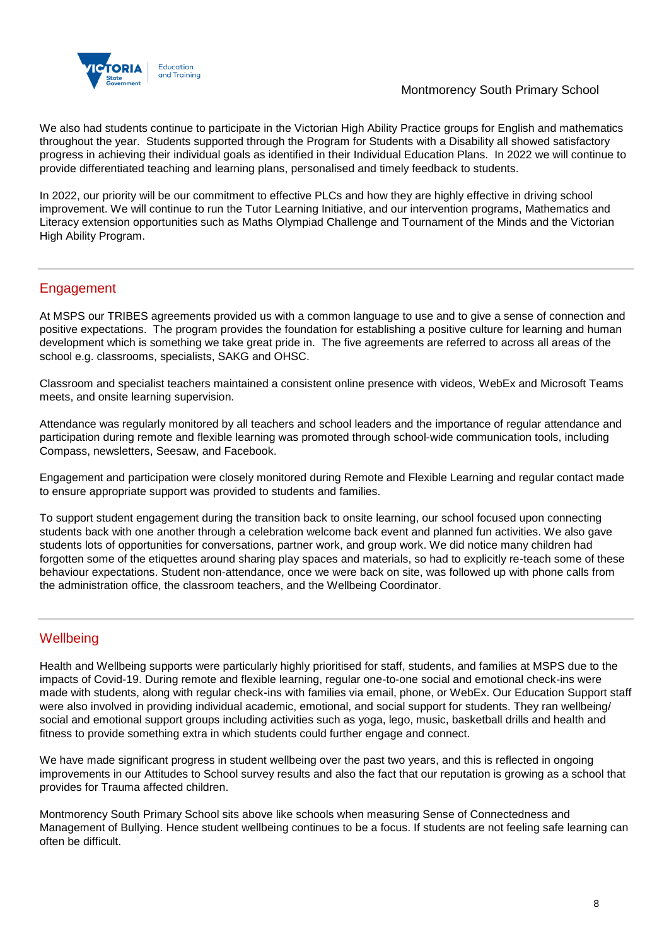

We also had students continue to participate in the Victorian High Ability Practice groups for English and mathematics throughout the year. Students supported through the Program for Students with a Disability all showed satisfactory progress in achieving their individual goals as identified in their Individual Education Plans. In 2022 we will continue to provide differentiated teaching and learning plans, personalised and timely feedback to students.

In 2022, our priority will be our commitment to effective PLCs and how they are highly effective in driving school improvement. We will continue to run the Tutor Learning Initiative, and our intervention programs, Mathematics and Literacy extension opportunities such as Maths Olympiad Challenge and Tournament of the Minds and the Victorian High Ability Program.

# Engagement

At MSPS our TRIBES agreements provided us with a common language to use and to give a sense of connection and positive expectations. The program provides the foundation for establishing a positive culture for learning and human development which is something we take great pride in. The five agreements are referred to across all areas of the school e.g. classrooms, specialists, SAKG and OHSC.

Classroom and specialist teachers maintained a consistent online presence with videos, WebEx and Microsoft Teams meets, and onsite learning supervision.

Attendance was regularly monitored by all teachers and school leaders and the importance of regular attendance and participation during remote and flexible learning was promoted through school-wide communication tools, including Compass, newsletters, Seesaw, and Facebook.

Engagement and participation were closely monitored during Remote and Flexible Learning and regular contact made to ensure appropriate support was provided to students and families.

To support student engagement during the transition back to onsite learning, our school focused upon connecting students back with one another through a celebration welcome back event and planned fun activities. We also gave students lots of opportunities for conversations, partner work, and group work. We did notice many children had forgotten some of the etiquettes around sharing play spaces and materials, so had to explicitly re-teach some of these behaviour expectations. Student non-attendance, once we were back on site, was followed up with phone calls from the administration office, the classroom teachers, and the Wellbeing Coordinator.

# **Wellbeing**

Health and Wellbeing supports were particularly highly prioritised for staff, students, and families at MSPS due to the impacts of Covid-19. During remote and flexible learning, regular one-to-one social and emotional check-ins were made with students, along with regular check-ins with families via email, phone, or WebEx. Our Education Support staff were also involved in providing individual academic, emotional, and social support for students. They ran wellbeing/ social and emotional support groups including activities such as yoga, lego, music, basketball drills and health and fitness to provide something extra in which students could further engage and connect.

We have made significant progress in student wellbeing over the past two years, and this is reflected in ongoing improvements in our Attitudes to School survey results and also the fact that our reputation is growing as a school that provides for Trauma affected children.

Montmorency South Primary School sits above like schools when measuring Sense of Connectedness and Management of Bullying. Hence student wellbeing continues to be a focus. If students are not feeling safe learning can often be difficult.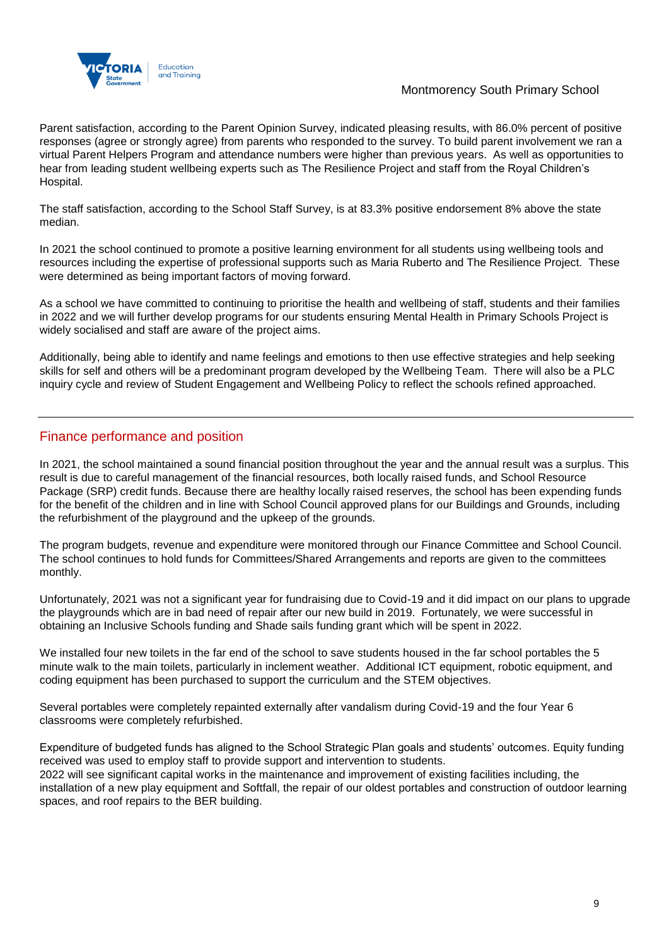

Parent satisfaction, according to the Parent Opinion Survey, indicated pleasing results, with 86.0% percent of positive responses (agree or strongly agree) from parents who responded to the survey. To build parent involvement we ran a virtual Parent Helpers Program and attendance numbers were higher than previous years. As well as opportunities to hear from leading student wellbeing experts such as The Resilience Project and staff from the Royal Children's Hospital.

The staff satisfaction, according to the School Staff Survey, is at 83.3% positive endorsement 8% above the state median.

In 2021 the school continued to promote a positive learning environment for all students using wellbeing tools and resources including the expertise of professional supports such as Maria Ruberto and The Resilience Project. These were determined as being important factors of moving forward.

As a school we have committed to continuing to prioritise the health and wellbeing of staff, students and their families in 2022 and we will further develop programs for our students ensuring Mental Health in Primary Schools Project is widely socialised and staff are aware of the project aims.

Additionally, being able to identify and name feelings and emotions to then use effective strategies and help seeking skills for self and others will be a predominant program developed by the Wellbeing Team. There will also be a PLC inquiry cycle and review of Student Engagement and Wellbeing Policy to reflect the schools refined approached.

## Finance performance and position

In 2021, the school maintained a sound financial position throughout the year and the annual result was a surplus. This result is due to careful management of the financial resources, both locally raised funds, and School Resource Package (SRP) credit funds. Because there are healthy locally raised reserves, the school has been expending funds for the benefit of the children and in line with School Council approved plans for our Buildings and Grounds, including the refurbishment of the playground and the upkeep of the grounds.

The program budgets, revenue and expenditure were monitored through our Finance Committee and School Council. The school continues to hold funds for Committees/Shared Arrangements and reports are given to the committees monthly.

Unfortunately, 2021 was not a significant year for fundraising due to Covid-19 and it did impact on our plans to upgrade the playgrounds which are in bad need of repair after our new build in 2019. Fortunately, we were successful in obtaining an Inclusive Schools funding and Shade sails funding grant which will be spent in 2022.

We installed four new toilets in the far end of the school to save students housed in the far school portables the 5 minute walk to the main toilets, particularly in inclement weather. Additional ICT equipment, robotic equipment, and coding equipment has been purchased to support the curriculum and the STEM objectives.

Several portables were completely repainted externally after vandalism during Covid-19 and the four Year 6 classrooms were completely refurbished.

Expenditure of budgeted funds has aligned to the School Strategic Plan goals and students' outcomes. Equity funding received was used to employ staff to provide support and intervention to students. 2022 will see significant capital works in the maintenance and improvement of existing facilities including, the installation of a new play equipment and Softfall, the repair of our oldest portables and construction of outdoor learning

spaces, and roof repairs to the BER building.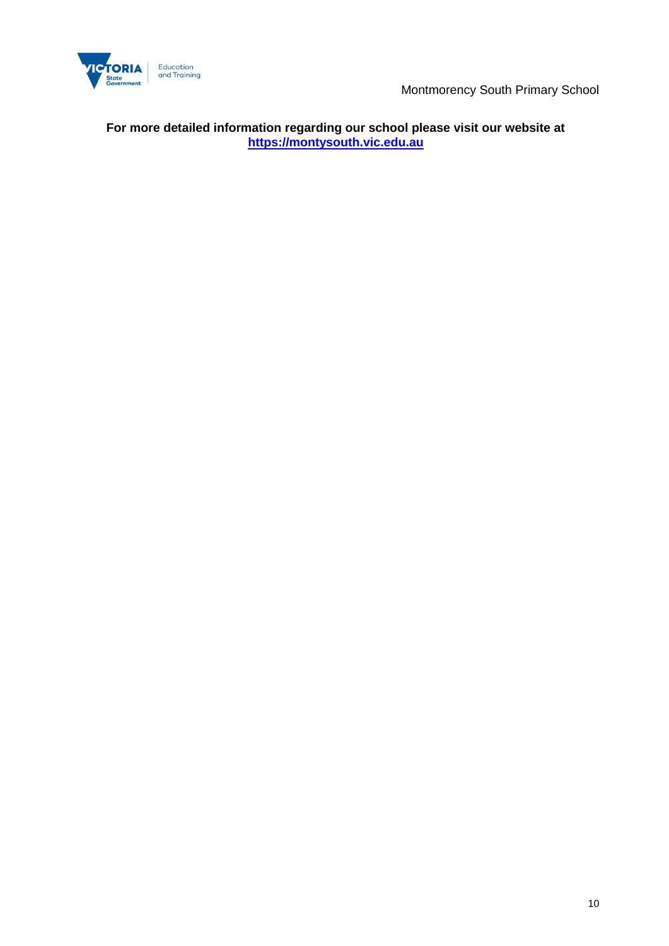

**For more detailed information regarding our school please visit our website at [https://montysouth.vic.edu.au](https://montysouth.vic.edu.au/)**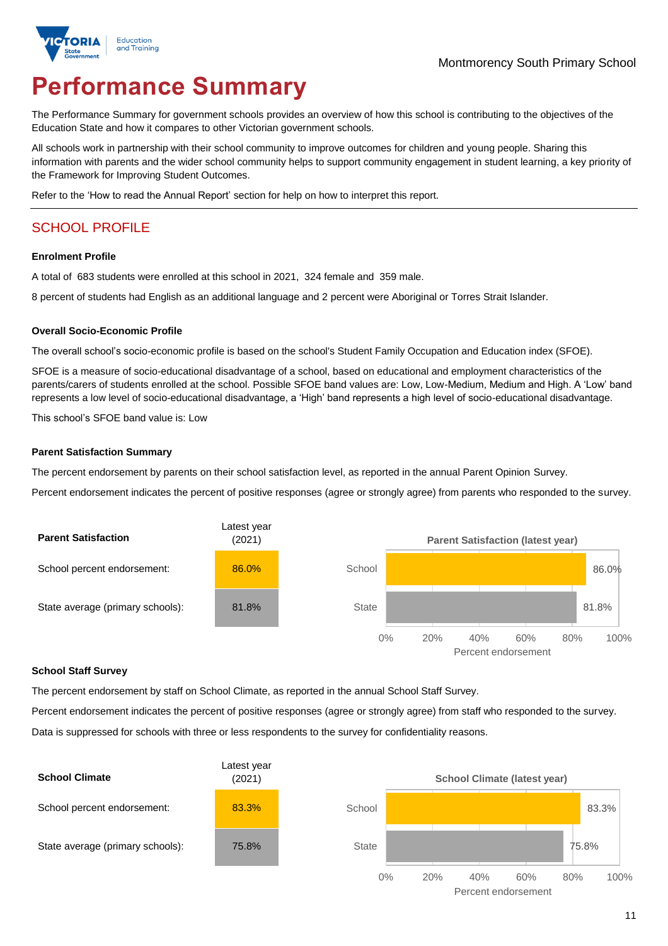

# **Performance Summary**

The Performance Summary for government schools provides an overview of how this school is contributing to the objectives of the Education State and how it compares to other Victorian government schools.

All schools work in partnership with their school community to improve outcomes for children and young people. Sharing this information with parents and the wider school community helps to support community engagement in student learning, a key priority of the Framework for Improving Student Outcomes.

Refer to the 'How to read the Annual Report' section for help on how to interpret this report.

# SCHOOL PROFILE

### **Enrolment Profile**

A total of 683 students were enrolled at this school in 2021, 324 female and 359 male.

8 percent of students had English as an additional language and 2 percent were Aboriginal or Torres Strait Islander.

### **Overall Socio-Economic Profile**

The overall school's socio-economic profile is based on the school's Student Family Occupation and Education index (SFOE).

SFOE is a measure of socio-educational disadvantage of a school, based on educational and employment characteristics of the parents/carers of students enrolled at the school. Possible SFOE band values are: Low, Low-Medium, Medium and High. A 'Low' band represents a low level of socio-educational disadvantage, a 'High' band represents a high level of socio-educational disadvantage.

This school's SFOE band value is: Low

### **Parent Satisfaction Summary**

The percent endorsement by parents on their school satisfaction level, as reported in the annual Parent Opinion Survey.

Percent endorsement indicates the percent of positive responses (agree or strongly agree) from parents who responded to the survey.



#### **School Staff Survey**

The percent endorsement by staff on School Climate, as reported in the annual School Staff Survey.

Percent endorsement indicates the percent of positive responses (agree or strongly agree) from staff who responded to the survey. Data is suppressed for schools with three or less respondents to the survey for confidentiality reasons.

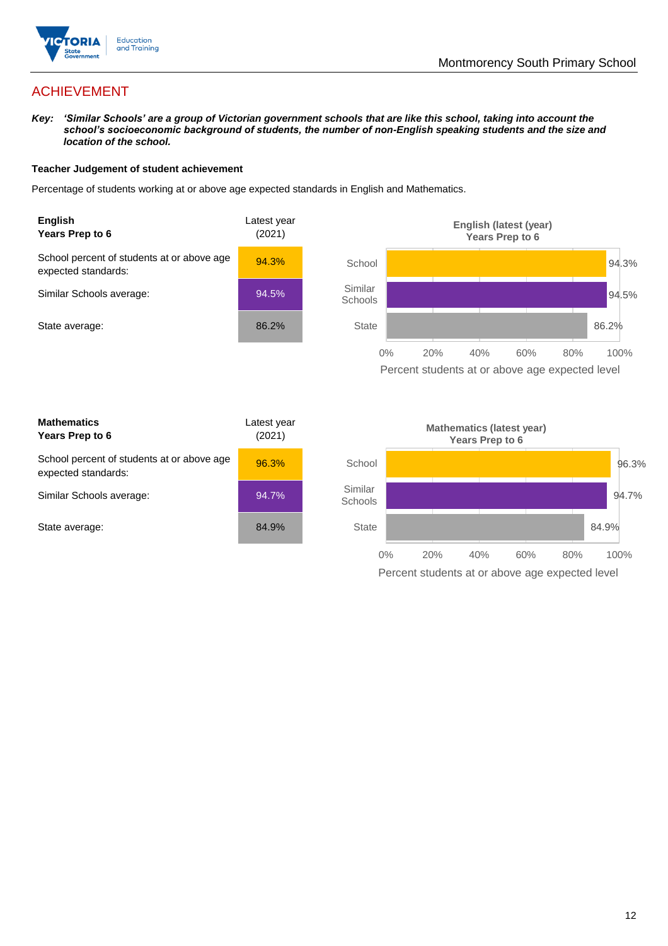

# ACHIEVEMENT

*Key: 'Similar Schools' are a group of Victorian government schools that are like this school, taking into account the school's socioeconomic background of students, the number of non-English speaking students and the size and location of the school.*

### **Teacher Judgement of student achievement**

Percentage of students working at or above age expected standards in English and Mathematics.



Percent students at or above age expected level

| <b>Mathematics</b><br>Years Prep to 6                             | Latest year<br>(2021) |
|-------------------------------------------------------------------|-----------------------|
| School percent of students at or above age<br>expected standards: | 96.3%                 |
| Similar Schools average:                                          | 94.7%                 |
| State average:                                                    | 84.9%                 |

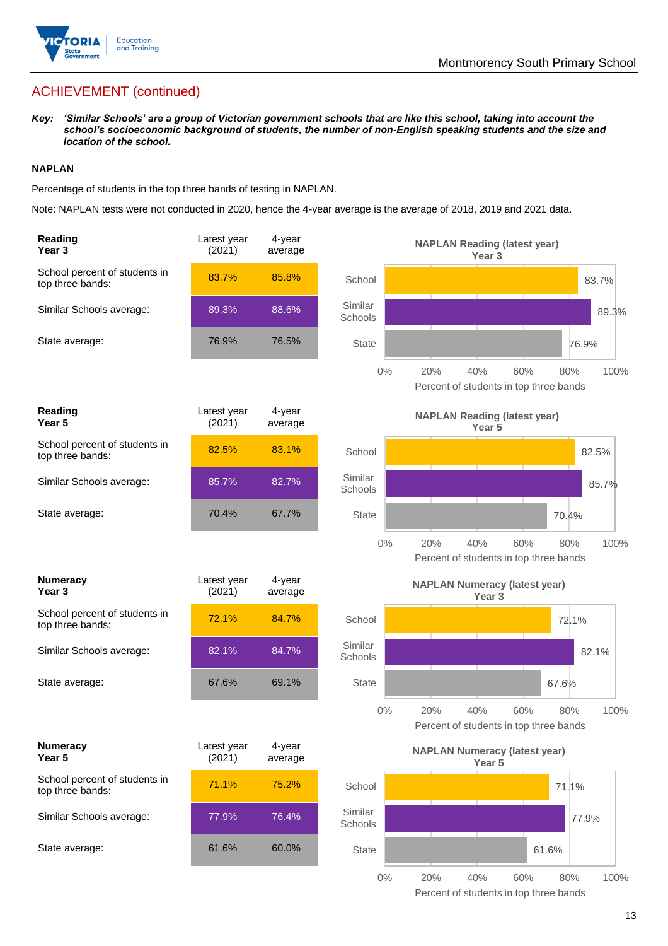

# ACHIEVEMENT (continued)

*Key: 'Similar Schools' are a group of Victorian government schools that are like this school, taking into account the school's socioeconomic background of students, the number of non-English speaking students and the size and location of the school.*

### **NAPLAN**

Percentage of students in the top three bands of testing in NAPLAN.

Note: NAPLAN tests were not conducted in 2020, hence the 4-year average is the average of 2018, 2019 and 2021 data.

| Reading<br>Year <sub>3</sub>                      | Latest year<br>(2021) | 4-year<br>average |                    | <b>NAPLAN Reading (latest year)</b><br>Year <sub>3</sub>                   |
|---------------------------------------------------|-----------------------|-------------------|--------------------|----------------------------------------------------------------------------|
| School percent of students in<br>top three bands: | 83.7%                 | 85.8%             | School             | 83.7%                                                                      |
| Similar Schools average:                          | 89.3%                 | 88.6%             | Similar<br>Schools | 89.3%                                                                      |
| State average:                                    | 76.9%                 | 76.5%             | <b>State</b>       | 76.9%                                                                      |
|                                                   |                       |                   | $0\%$              | 20%<br>40%<br>100%<br>60%<br>80%<br>Percent of students in top three bands |
| <b>Reading</b><br>Year <sub>5</sub>               | Latest year<br>(2021) | 4-year<br>average |                    | <b>NAPLAN Reading (latest year)</b><br>Year 5                              |
| School percent of students in<br>top three bands: | 82.5%                 | 83.1%             | School             | 82.5%                                                                      |
| Similar Schools average:                          | 85.7%                 | 82.7%             | Similar<br>Schools | 85.7%                                                                      |
| State average:                                    | 70.4%                 | 67.7%             | <b>State</b>       | 70.4%                                                                      |
|                                                   |                       |                   | $0\%$              | 20%<br>40%<br>60%<br>100%<br>80%<br>Percent of students in top three bands |
| <b>Numeracy</b><br>Year <sub>3</sub>              | Latest year<br>(2021) | 4-year<br>average |                    | <b>NAPLAN Numeracy (latest year)</b><br>Year <sub>3</sub>                  |
| School percent of students in<br>top three bands: | 72.1%                 | 84.7%             | School             | 72.1%                                                                      |
| Similar Schools average:                          | 82.1%                 | 84.7%             | Similar<br>Schools | 82.1%                                                                      |
| State average:                                    | 67.6%                 | 69.1%             | <b>State</b>       | 67.6%                                                                      |
|                                                   |                       |                   | $0\%$              | 100%<br>20%<br>40%<br>60%<br>80%<br>Percent of students in top three bands |
| <b>Numeracy</b><br>Year 5                         | Latest year<br>(2021) | 4-year<br>average |                    | <b>NAPLAN Numeracy (latest year)</b><br>Year 5                             |
| School percent of students in<br>top three bands: | 71.1%                 | 75.2%             | School             | 71.1%                                                                      |
| Similar Schools average:                          | 77.9%                 | 76.4%             | Similar<br>Schools | 77.9%                                                                      |
| State average:                                    | 61.6%                 | 60.0%             | <b>State</b>       | 61.6%                                                                      |
|                                                   |                       |                   | $0\%$              | 20%<br>40%<br>60%<br>80%<br>100%                                           |

Percent of students in top three bands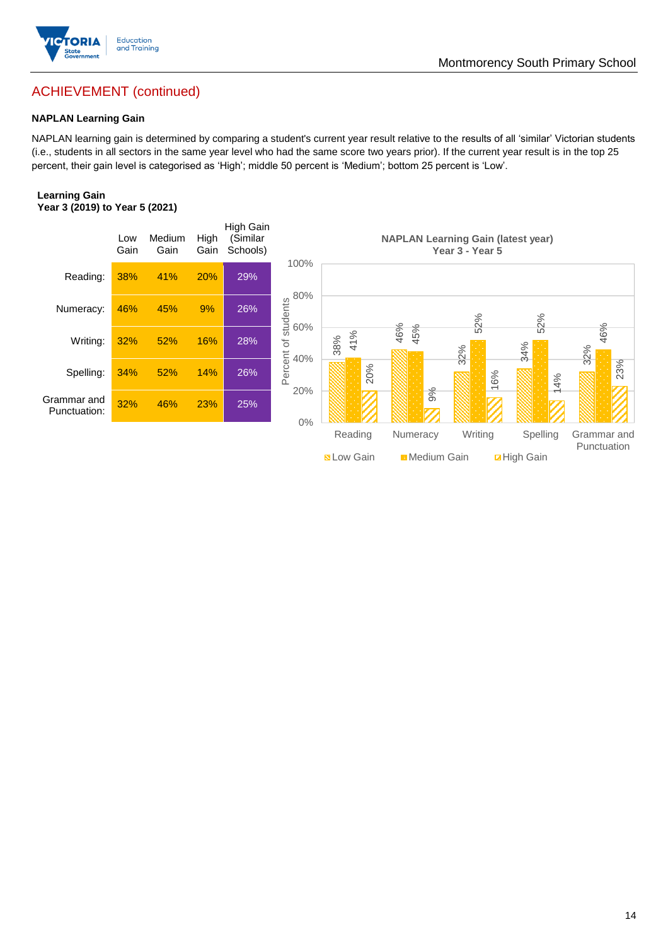

# ACHIEVEMENT (continued)

### **NAPLAN Learning Gain**

NAPLAN learning gain is determined by comparing a student's current year result relative to the results of all 'similar' Victorian students (i.e., students in all sectors in the same year level who had the same score two years prior). If the current year result is in the top 25 percent, their gain level is categorised as 'High'; middle 50 percent is 'Medium'; bottom 25 percent is 'Low'.

### **Learning Gain Year 3 (2019) to Year 5 (2021)**



**BLow Gain** Medium Gain **Example 10**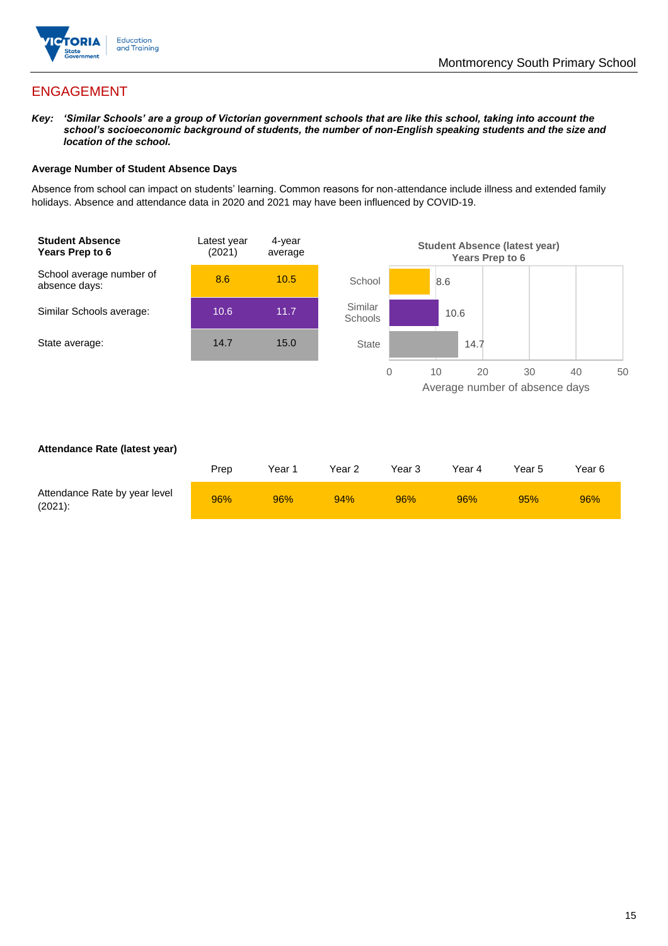

# ENGAGEMENT

*Key: 'Similar Schools' are a group of Victorian government schools that are like this school, taking into account the school's socioeconomic background of students, the number of non-English speaking students and the size and location of the school.*

### **Average Number of Student Absence Days**

Absence from school can impact on students' learning. Common reasons for non-attendance include illness and extended family holidays. Absence and attendance data in 2020 and 2021 may have been influenced by COVID-19.



### **Attendance Rate (latest year)**

|                                             | Prep | Year 1 | Year 2 | Year 3 | Year 4 | Year 5 | Year 6 |
|---------------------------------------------|------|--------|--------|--------|--------|--------|--------|
| Attendance Rate by year level<br>$(2021)$ : | 96%  | 96%    | 94%    | 96%    | 96%    | 95%    | 96%    |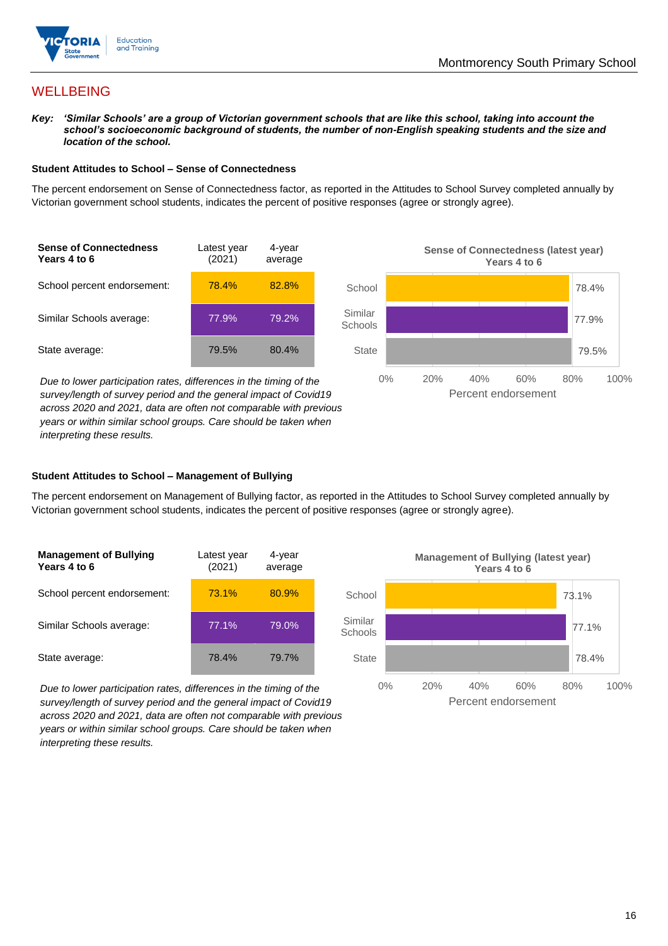

# **WELLBEING**

*Key: 'Similar Schools' are a group of Victorian government schools that are like this school, taking into account the school's socioeconomic background of students, the number of non-English speaking students and the size and location of the school.*

### **Student Attitudes to School – Sense of Connectedness**

The percent endorsement on Sense of Connectedness factor, as reported in the Attitudes to School Survey completed annually by Victorian government school students, indicates the percent of positive responses (agree or strongly agree).



*Due to lower participation rates, differences in the timing of the survey/length of survey period and the general impact of Covid19 across 2020 and 2021, data are often not comparable with previous years or within similar school groups. Care should be taken when interpreting these results.*



### **Student Attitudes to School – Management of Bullying**

The percent endorsement on Management of Bullying factor, as reported in the Attitudes to School Survey completed annually by Victorian government school students, indicates the percent of positive responses (agree or strongly agree).

| <b>Management of Bullying</b><br>Years 4 to 6 | Latest year<br>(2021) | 4-year<br>average |  |
|-----------------------------------------------|-----------------------|-------------------|--|
| School percent endorsement:                   | 73.1%                 | 80.9%             |  |
| Similar Schools average:                      | 77.1%                 | 79.0%             |  |
| State average:                                | 78.4%                 | 79.7%             |  |

*Due to lower participation rates, differences in the timing of the survey/length of survey period and the general impact of Covid19 across 2020 and 2021, data are often not comparable with previous years or within similar school groups. Care should be taken when interpreting these results.*

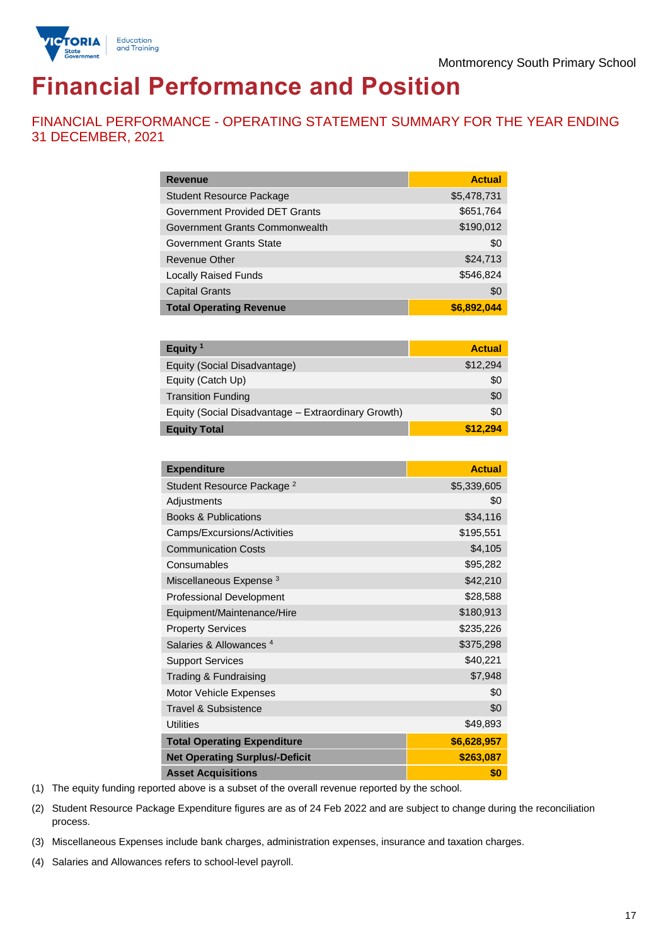



# **Financial Performance and Position**

FINANCIAL PERFORMANCE - OPERATING STATEMENT SUMMARY FOR THE YEAR ENDING 31 DECEMBER, 2021

| <b>Revenue</b>                  | <b>Actual</b> |
|---------------------------------|---------------|
| <b>Student Resource Package</b> | \$5,478,731   |
| Government Provided DET Grants  | \$651,764     |
| Government Grants Commonwealth  | \$190,012     |
| Government Grants State         | \$0           |
| <b>Revenue Other</b>            | \$24,713      |
| <b>Locally Raised Funds</b>     | \$546,824     |
| <b>Capital Grants</b>           | \$0           |
| <b>Total Operating Revenue</b>  | \$6,892,044   |

| Equity <sup>1</sup>                                 | <b>Actual</b> |
|-----------------------------------------------------|---------------|
| Equity (Social Disadvantage)                        | \$12,294      |
| Equity (Catch Up)                                   | \$0           |
| <b>Transition Funding</b>                           | \$0           |
| Equity (Social Disadvantage - Extraordinary Growth) | \$0           |
| <b>Equity Total</b>                                 | \$12,294      |

| <b>Expenditure</b>                    | <b>Actual</b> |
|---------------------------------------|---------------|
| Student Resource Package <sup>2</sup> | \$5,339,605   |
| Adjustments                           | \$0           |
| <b>Books &amp; Publications</b>       | \$34,116      |
| Camps/Excursions/Activities           | \$195,551     |
| <b>Communication Costs</b>            | \$4,105       |
| Consumables                           | \$95,282      |
| Miscellaneous Expense <sup>3</sup>    | \$42,210      |
| <b>Professional Development</b>       | \$28,588      |
| Equipment/Maintenance/Hire            | \$180,913     |
| <b>Property Services</b>              | \$235,226     |
| Salaries & Allowances <sup>4</sup>    | \$375,298     |
| <b>Support Services</b>               | \$40,221      |
| Trading & Fundraising                 | \$7,948       |
| Motor Vehicle Expenses                | \$0           |
| Travel & Subsistence                  | \$0           |
| <b>Utilities</b>                      | \$49,893      |
| <b>Total Operating Expenditure</b>    | \$6,628,957   |
| <b>Net Operating Surplus/-Deficit</b> | \$263,087     |
| <b>Asset Acquisitions</b>             | \$0           |

(1) The equity funding reported above is a subset of the overall revenue reported by the school.

(2) Student Resource Package Expenditure figures are as of 24 Feb 2022 and are subject to change during the reconciliation process.

(3) Miscellaneous Expenses include bank charges, administration expenses, insurance and taxation charges.

(4) Salaries and Allowances refers to school-level payroll.